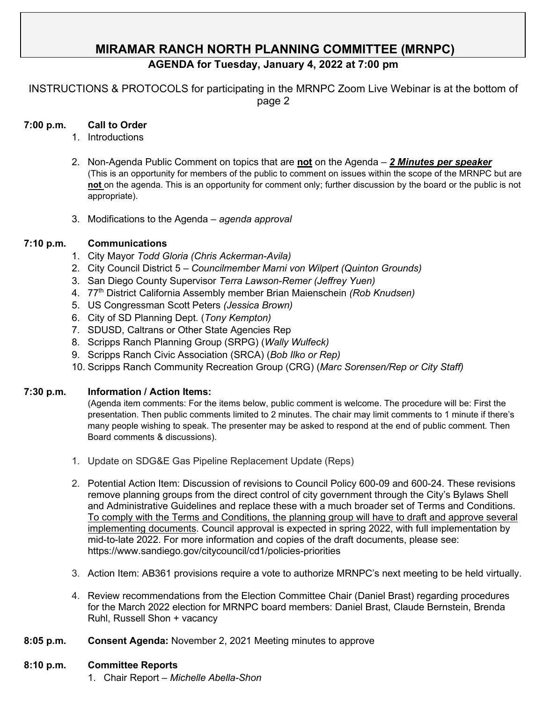# **MIRAMAR RANCH NORTH PLANNING COMMITTEE (MRNPC)**

## **AGENDA for Tuesday, January 4, 2022 at 7:00 pm**

INSTRUCTIONS & PROTOCOLS for participating in the MRNPC Zoom Live Webinar is at the bottom of page 2

#### **7:00 p.m. Call to Order**

- 1. Introductions
- 2. Non-Agenda Public Comment on topics that are **not** on the Agenda *2 Minutes per speaker* (This is an opportunity for members of the public to comment on issues within the scope of the MRNPC but are **not** on the agenda. This is an opportunity for comment only; further discussion by the board or the public is not appropriate).
- 3. Modifications to the Agenda *agenda approval*

#### **7:10 p.m. Communications**

- 1. City Mayor *Todd Gloria (Chris Ackerman-Avila)*
- 2. City Council District 5 *Councilmember Marni von Wilpert (Quinton Grounds)*
- 3. San Diego County Supervisor *Terra Lawson-Remer (Jeffrey Yuen)*
- 4. 77th District California Assembly member Brian Maienschein *(Rob Knudsen)*
- 5. US Congressman Scott Peters *(Jessica Brown)*
- 6. City of SD Planning Dept. (*Tony Kempton)*
- 7. SDUSD, Caltrans or Other State Agencies Rep
- 8. Scripps Ranch Planning Group (SRPG) (*Wally Wulfeck)*
- 9. Scripps Ranch Civic Association (SRCA) (*Bob Ilko or Rep)*
- 10. Scripps Ranch Community Recreation Group (CRG) (*Marc Sorensen/Rep or City Staff)*

#### **7:30 p.m. Information / Action Items:**

(Agenda item comments: For the items below, public comment is welcome. The procedure will be: First the presentation. Then public comments limited to 2 minutes. The chair may limit comments to 1 minute if there's many people wishing to speak. The presenter may be asked to respond at the end of public comment. Then Board comments & discussions).

- 1. Update on SDG&E Gas Pipeline Replacement Update (Reps)
- 2. Potential Action Item: Discussion of revisions to Council Policy 600-09 and 600-24. These revisions remove planning groups from the direct control of city government through the City's Bylaws Shell and Administrative Guidelines and replace these with a much broader set of Terms and Conditions. To comply with the Terms and Conditions, the planning group will have to draft and approve several implementing documents. Council approval is expected in spring 2022, with full implementation by mid-to-late 2022. For more information and copies of the draft documents, please see: https://www.sandiego.gov/citycouncil/cd1/policies-priorities
- 3. Action Item: AB361 provisions require a vote to authorize MRNPC's next meeting to be held virtually.
- 4. Review recommendations from the Election Committee Chair (Daniel Brast) regarding procedures for the March 2022 election for MRNPC board members: Daniel Brast, Claude Bernstein, Brenda Ruhl, Russell Shon + vacancy
- **8:05 p.m. Consent Agenda:** November 2, 2021 Meeting minutes to approve

#### **8:10 p.m. Committee Reports**

1. Chair Report – *Michelle Abella-Shon*